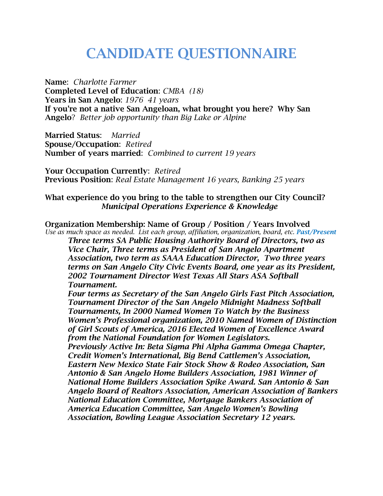# **CANDIDATE QUESTIONNAIRE**

**Name**: *Charlotte Farmer* **Completed Level of Education**: *CMBA (18)* **Years in San Angelo**: *1976 41 years* **If you're not a native San Angeloan, what brought you here? Why San Angelo**? *Better job opportunity than Big Lake or Alpine*

**Married Status**: *Married* **Spouse/Occupation**: *Retired*  **Number of years married**: *Combined to current 19 years*

**Your Occupation Currently**: *Retired* **Previous Position**: *Real Estate Management 16 years, Banking 25 years*

#### **What experience do you bring to the table to strengthen our City Council?** *Municipal Operations Experience & Knowledge*

**Organization Membership: Name of Group / Position / Years Involved**  *Use as much space as needed. List each group, affiliation, organization, board, etc. Past/Present*

*Three terms SA Public Housing Authority Board of Directors, two as Vice Chair, Three terms as President of San Angelo Apartment Association, two term as SAAA Education Director, Two three years terms on San Angelo City Civic Events Board, one year as its President, 2002 Tournament Director West Texas All Stars ASA Softball Tournament.*

*Four terms as Secretary of the San Angelo Girls Fast Pitch Association, Tournament Director of the San Angelo Midnight Madness Softball Tournaments, In 2000 Named Women To Watch by the Business Women's Professional organization, 2010 Named Women of Distinction of Girl Scouts of America, 2016 Elected Women of Excellence Award from the National Foundation for Women Legislators.*

*Previously Active In: Beta Sigma Phi Alpha Gamma Omega Chapter, Credit Women's International, Big Bend Cattlemen's Association, Eastern New Mexico State Fair Stock Show & Rodeo Association, San Antonio & San Angelo Home Builders Association, 1981 Winner of National Home Builders Association Spike Award. San Antonio & San Angelo Board of Realtors Association, American Association of Bankers National Education Committee, Mortgage Bankers Association of America Education Committee, San Angelo Women's Bowling Association, Bowling League Association Secretary 12 years.*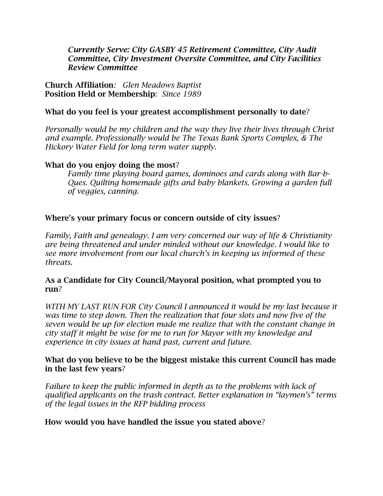#### *Currently Serve: City GASBY 45 Retirement Committee, City Audit Committee, City Investment Oversite Committee, and City Facilities Review Committee*

**Church Affiliation***: Glen Meadows Baptist* **Position Held or Membership**: *Since 1989*

### **What do you feel is your greatest accomplishment personally to date**?

*Personally would be my children and the way they live their lives through Christ and example. Professionally would be The Texas Bank Sports Complex, & The Hickory Water Field for long term water supply.*

#### **What do you enjoy doing the most**?

*Family time playing board games, dominoes and cards along with Bar-b-Ques. Quilting homemade gifts and baby blankets. Growing a garden full of veggies, canning.*

# **Where's your primary focus or concern outside of city issues**?

*Family, Faith and genealogy. I am very concerned our way of life & Christianity are being threatened and under minded without our knowledge. I would like to see more involvement from our local church's in keeping us informed of these threats.*

# **As a Candidate for City Council/Mayoral position, what prompted you to run**?

*WITH MY LAST RUN FOR City Council I announced it would be my last because it was time to step down. Then the realization that four slots and now five of the seven would be up for election made me realize that with the constant change in city staff it might be wise for me to run for Mayor with my knowledge and experience in city issues at hand past, current and future.*

#### **What do you believe to be the biggest mistake this current Council has made in the last few years**?

*Failure to keep the public informed in depth as to the problems with lack of qualified applicants on the trash contract. Better explanation in "laymen's" terms of the legal issues in the RFP bidding process*

# **How would you have handled the issue you stated above**?